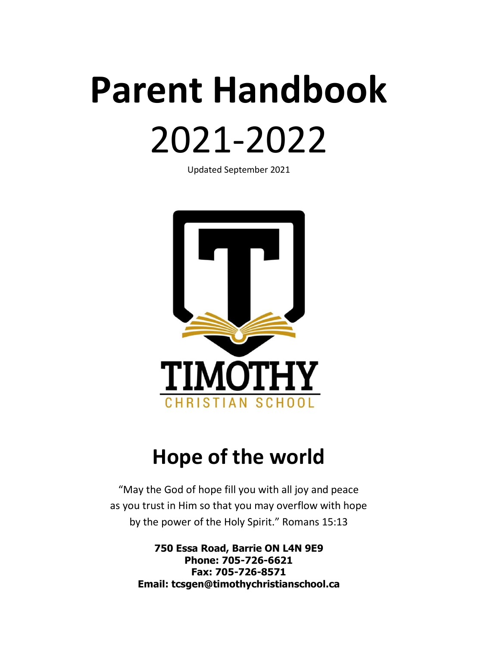# **Parent Handbook** 2021-2022

Updated September 2021



## **Hope of the world**

"May the God of hope fill you with all joy and peace as you trust in Him so that you may overflow with hope by the power of the Holy Spirit." Romans 15:13

> **750 Essa Road, Barrie ON L4N 9E9 Phone: 705-726-6621 Fax: 705-726-8571 Email: tcsgen@timothychristianschool.ca**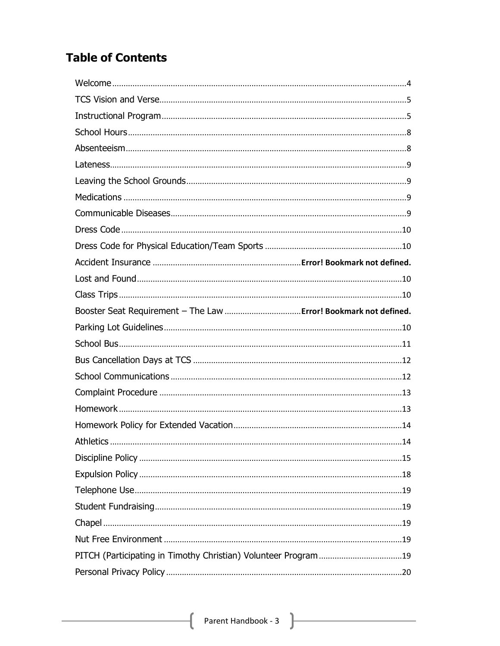## **Table of Contents**

| Athletics | .14 |
|-----------|-----|
|           |     |
|           |     |
|           |     |
|           |     |
|           |     |
|           |     |
|           |     |
|           |     |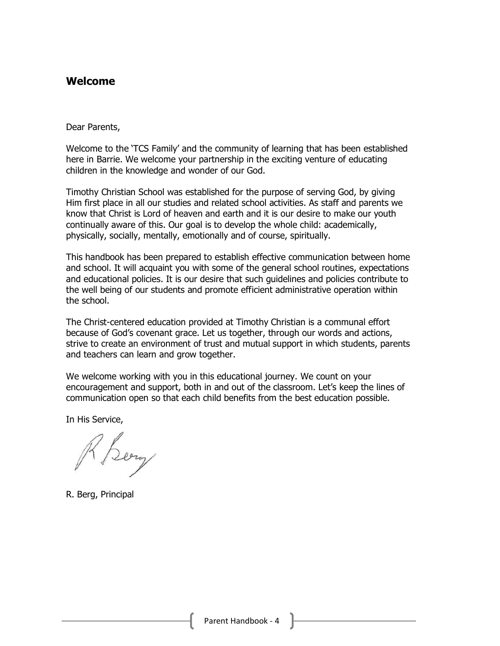## <span id="page-3-0"></span>**Welcome**

#### Dear Parents,

Welcome to the 'TCS Family' and the community of learning that has been established here in Barrie. We welcome your partnership in the exciting venture of educating children in the knowledge and wonder of our God.

Timothy Christian School was established for the purpose of serving God, by giving Him first place in all our studies and related school activities. As staff and parents we know that Christ is Lord of heaven and earth and it is our desire to make our youth continually aware of this. Our goal is to develop the whole child: academically, physically, socially, mentally, emotionally and of course, spiritually.

This handbook has been prepared to establish effective communication between home and school. It will acquaint you with some of the general school routines, expectations and educational policies. It is our desire that such guidelines and policies contribute to the well being of our students and promote efficient administrative operation within the school.

The Christ-centered education provided at Timothy Christian is a communal effort because of God's covenant grace. Let us together, through our words and actions, strive to create an environment of trust and mutual support in which students, parents and teachers can learn and grow together.

We welcome working with you in this educational journey. We count on your encouragement and support, both in and out of the classroom. Let's keep the lines of communication open so that each child benefits from the best education possible.

In His Service,

Sery

R. Berg, Principal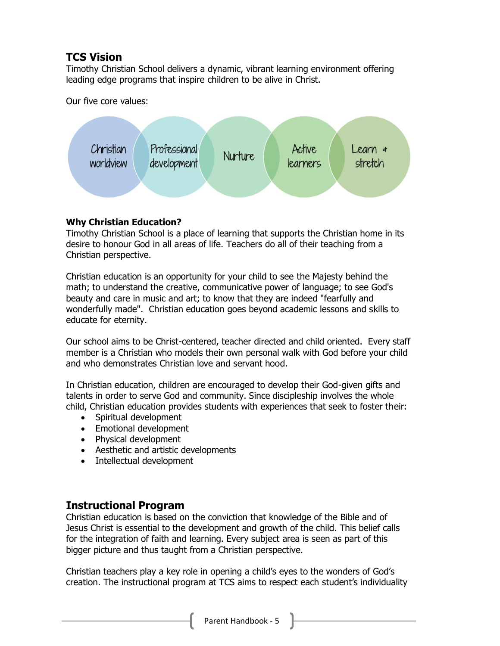## <span id="page-4-0"></span>**TCS Vision**

Timothy Christian School delivers a dynamic, vibrant learning environment offering leading edge programs that inspire children to be alive in Christ.

Our five core values:



## **Why Christian Education?**

Timothy Christian School is a place of learning that supports the Christian home in its desire to honour God in all areas of life. Teachers do all of their teaching from a Christian perspective.

Christian education is an opportunity for your child to see the Majesty behind the math; to understand the creative, communicative power of language; to see God's beauty and care in music and art; to know that they are indeed "fearfully and wonderfully made". Christian education goes beyond academic lessons and skills to educate for eternity.

Our school aims to be Christ-centered, teacher directed and child oriented. Every staff member is a Christian who models their own personal walk with God before your child and who demonstrates Christian love and servant hood.

In Christian education, children are encouraged to develop their God-given gifts and talents in order to serve God and community. Since discipleship involves the whole child, Christian education provides students with experiences that seek to foster their:

- Spiritual development
- Emotional development
- Physical development
- Aesthetic and artistic developments
- Intellectual development

## <span id="page-4-1"></span>**Instructional Program**

Christian education is based on the conviction that knowledge of the Bible and of Jesus Christ is essential to the development and growth of the child. This belief calls for the integration of faith and learning. Every subject area is seen as part of this bigger picture and thus taught from a Christian perspective.

Christian teachers play a key role in opening a child's eyes to the wonders of God's creation. The instructional program at TCS aims to respect each student's individuality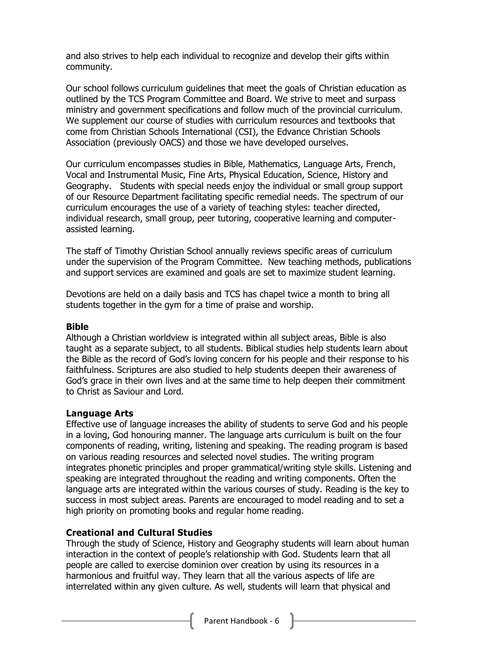and also strives to help each individual to recognize and develop their gifts within community.

Our school follows curriculum guidelines that meet the goals of Christian education as outlined by the TCS Program Committee and Board. We strive to meet and surpass ministry and government specifications and follow much of the provincial curriculum. We supplement our course of studies with curriculum resources and textbooks that come from Christian Schools International (CSI), the Edvance Christian Schools Association (previously OACS) and those we have developed ourselves.

Our curriculum encompasses studies in Bible, Mathematics, Language Arts, French, Vocal and Instrumental Music, Fine Arts, Physical Education, Science, History and Geography. Students with special needs enjoy the individual or small group support of our Resource Department facilitating specific remedial needs. The spectrum of our curriculum encourages the use of a variety of teaching styles: teacher directed, individual research, small group, peer tutoring, cooperative learning and computerassisted learning.

The staff of Timothy Christian School annually reviews specific areas of curriculum under the supervision of the Program Committee. New teaching methods, publications and support services are examined and goals are set to maximize student learning.

Devotions are held on a daily basis and TCS has chapel twice a month to bring all students together in the gym for a time of praise and worship.

#### **Bible**

Although a Christian worldview is integrated within all subject areas, Bible is also taught as a separate subject, to all students. Biblical studies help students learn about the Bible as the record of God's loving concern for his people and their response to his faithfulness. Scriptures are also studied to help students deepen their awareness of God's grace in their own lives and at the same time to help deepen their commitment to Christ as Saviour and Lord.

#### **Language Arts**

Effective use of language increases the ability of students to serve God and his people in a loving, God honouring manner. The language arts curriculum is built on the four components of reading, writing, listening and speaking. The reading program is based on various reading resources and selected novel studies. The writing program integrates phonetic principles and proper grammatical/writing style skills. Listening and speaking are integrated throughout the reading and writing components. Often the language arts are integrated within the various courses of study. Reading is the key to success in most subject areas. Parents are encouraged to model reading and to set a high priority on promoting books and regular home reading.

## **Creational and Cultural Studies**

Through the study of Science, History and Geography students will learn about human interaction in the context of people's relationship with God. Students learn that all people are called to exercise dominion over creation by using its resources in a harmonious and fruitful way. They learn that all the various aspects of life are interrelated within any given culture. As well, students will learn that physical and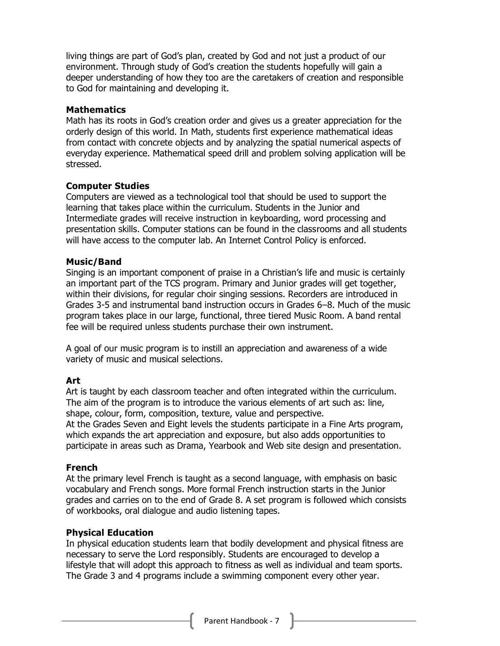living things are part of God's plan, created by God and not just a product of our environment. Through study of God's creation the students hopefully will gain a deeper understanding of how they too are the caretakers of creation and responsible to God for maintaining and developing it.

#### **Mathematics**

Math has its roots in God's creation order and gives us a greater appreciation for the orderly design of this world. In Math, students first experience mathematical ideas from contact with concrete objects and by analyzing the spatial numerical aspects of everyday experience. Mathematical speed drill and problem solving application will be stressed.

#### **Computer Studies**

Computers are viewed as a technological tool that should be used to support the learning that takes place within the curriculum. Students in the Junior and Intermediate grades will receive instruction in keyboarding, word processing and presentation skills. Computer stations can be found in the classrooms and all students will have access to the computer lab. An Internet Control Policy is enforced.

#### **Music/Band**

Singing is an important component of praise in a Christian's life and music is certainly an important part of the TCS program. Primary and Junior grades will get together, within their divisions, for regular choir singing sessions. Recorders are introduced in Grades 3-5 and instrumental band instruction occurs in Grades 6–8. Much of the music program takes place in our large, functional, three tiered Music Room. A band rental fee will be required unless students purchase their own instrument.

A goal of our music program is to instill an appreciation and awareness of a wide variety of music and musical selections.

## **Art**

Art is taught by each classroom teacher and often integrated within the curriculum. The aim of the program is to introduce the various elements of art such as: line, shape, colour, form, composition, texture, value and perspective.

At the Grades Seven and Eight levels the students participate in a Fine Arts program, which expands the art appreciation and exposure, but also adds opportunities to participate in areas such as Drama, Yearbook and Web site design and presentation.

## **French**

At the primary level French is taught as a second language, with emphasis on basic vocabulary and French songs. More formal French instruction starts in the Junior grades and carries on to the end of Grade 8. A set program is followed which consists of workbooks, oral dialogue and audio listening tapes.

## **Physical Education**

In physical education students learn that bodily development and physical fitness are necessary to serve the Lord responsibly. Students are encouraged to develop a lifestyle that will adopt this approach to fitness as well as individual and team sports. The Grade 3 and 4 programs include a swimming component every other year.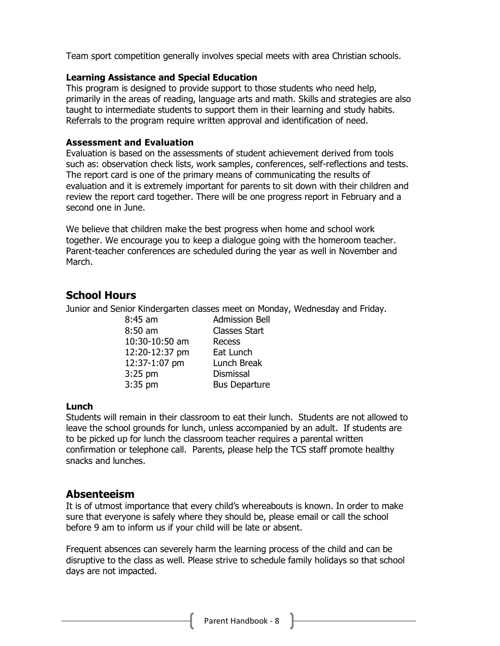Team sport competition generally involves special meets with area Christian schools.

#### **Learning Assistance and Special Education**

This program is designed to provide support to those students who need help, primarily in the areas of reading, language arts and math. Skills and strategies are also taught to intermediate students to support them in their learning and study habits. Referrals to the program require written approval and identification of need.

#### **Assessment and Evaluation**

Evaluation is based on the assessments of student achievement derived from tools such as: observation check lists, work samples, conferences, self-reflections and tests. The report card is one of the primary means of communicating the results of evaluation and it is extremely important for parents to sit down with their children and review the report card together. There will be one progress report in February and a second one in June.

We believe that children make the best progress when home and school work together. We encourage you to keep a dialogue going with the homeroom teacher. Parent-teacher conferences are scheduled during the year as well in November and March.

## <span id="page-7-0"></span>**School Hours**

Junior and Senior Kindergarten classes meet on Monday, Wednesday and Friday.

8:45 am Admission Bell 8:50 am Classes Start 10:30-10:50 am Recess 12:20-12:37 pm Eat Lunch 12:37-1:07 pm Lunch Break 3:25 pm Dismissal 3:35 pm Bus Departure

## **Lunch**

Students will remain in their classroom to eat their lunch. Students are not allowed to leave the school grounds for lunch, unless accompanied by an adult. If students are to be picked up for lunch the classroom teacher requires a parental written confirmation or telephone call. Parents, please help the TCS staff promote healthy snacks and lunches.

## <span id="page-7-1"></span>**Absenteeism**

It is of utmost importance that every child's whereabouts is known. In order to make sure that everyone is safely where they should be, please email or call the school before 9 am to inform us if your child will be late or absent.

Frequent absences can severely harm the learning process of the child and can be disruptive to the class as well. Please strive to schedule family holidays so that school days are not impacted.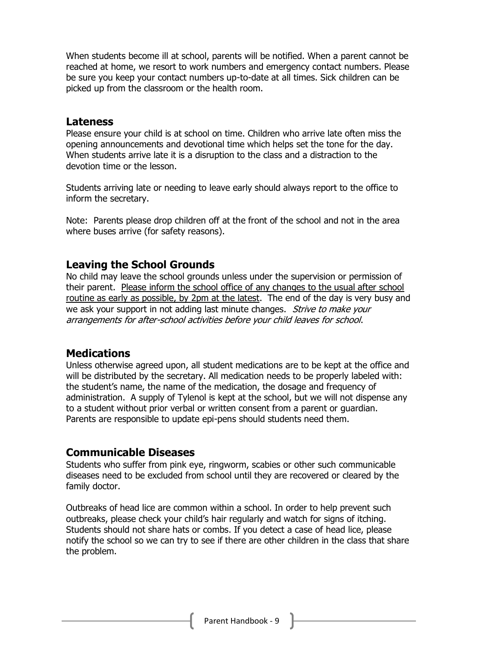When students become ill at school, parents will be notified. When a parent cannot be reached at home, we resort to work numbers and emergency contact numbers. Please be sure you keep your contact numbers up-to-date at all times. Sick children can be picked up from the classroom or the health room.

## <span id="page-8-0"></span>**Lateness**

Please ensure your child is at school on time. Children who arrive late often miss the opening announcements and devotional time which helps set the tone for the day. When students arrive late it is a disruption to the class and a distraction to the devotion time or the lesson.

Students arriving late or needing to leave early should always report to the office to inform the secretary.

Note: Parents please drop children off at the front of the school and not in the area where buses arrive (for safety reasons).

## <span id="page-8-1"></span>**Leaving the School Grounds**

No child may leave the school grounds unless under the supervision or permission of their parent. Please inform the school office of any changes to the usual after school routine as early as possible, by 2pm at the latest. The end of the day is very busy and we ask your support in not adding last minute changes. Strive to make your arrangements for after-school activities before your child leaves for school.

## <span id="page-8-2"></span>**Medications**

Unless otherwise agreed upon, all student medications are to be kept at the office and will be distributed by the secretary. All medication needs to be properly labeled with: the student's name, the name of the medication, the dosage and frequency of administration. A supply of Tylenol is kept at the school, but we will not dispense any to a student without prior verbal or written consent from a parent or guardian. Parents are responsible to update epi-pens should students need them.

## <span id="page-8-3"></span>**Communicable Diseases**

Students who suffer from pink eye, ringworm, scabies or other such communicable diseases need to be excluded from school until they are recovered or cleared by the family doctor.

<span id="page-8-4"></span>Outbreaks of head lice are common within a school. In order to help prevent such outbreaks, please check your child's hair regularly and watch for signs of itching. Students should not share hats or combs. If you detect a case of head lice, please notify the school so we can try to see if there are other children in the class that share the problem.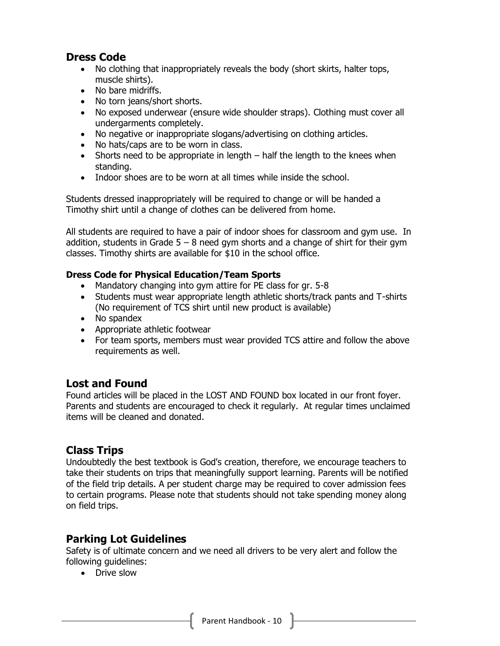## **Dress Code**

- No clothing that inappropriately reveals the body (short skirts, halter tops, muscle shirts).
- No bare midriffs.
- No torn jeans/short shorts.
- No exposed underwear (ensure wide shoulder straps). Clothing must cover all undergarments completely.
- No negative or inappropriate slogans/advertising on clothing articles.
- No hats/caps are to be worn in class.
- Shorts need to be appropriate in length half the length to the knees when standing.
- Indoor shoes are to be worn at all times while inside the school.

Students dressed inappropriately will be required to change or will be handed a Timothy shirt until a change of clothes can be delivered from home.

All students are required to have a pair of indoor shoes for classroom and gym use. In addition, students in Grade  $5 - 8$  need gym shorts and a change of shirt for their gym classes. Timothy shirts are available for \$10 in the school office.

## <span id="page-9-0"></span>**Dress Code for Physical Education/Team Sports**

- Mandatory changing into gym attire for PE class for gr. 5-8
- Students must wear appropriate length athletic shorts/track pants and T-shirts (No requirement of TCS shirt until new product is available)
- No spandex
- Appropriate athletic footwear
- For team sports, members must wear provided TCS attire and follow the above requirements as well.

## <span id="page-9-1"></span>**Lost and Found**

Found articles will be placed in the LOST AND FOUND box located in our front foyer. Parents and students are encouraged to check it regularly. At regular times unclaimed items will be cleaned and donated.

## <span id="page-9-2"></span>**Class Trips**

Undoubtedly the best textbook is God's creation, therefore, we encourage teachers to take their students on trips that meaningfully support learning. Parents will be notified of the field trip details. A per student charge may be required to cover admission fees to certain programs. Please note that students should not take spending money along on field trips.

## <span id="page-9-3"></span>**Parking Lot Guidelines**

Safety is of ultimate concern and we need all drivers to be very alert and follow the following guidelines:

• Drive slow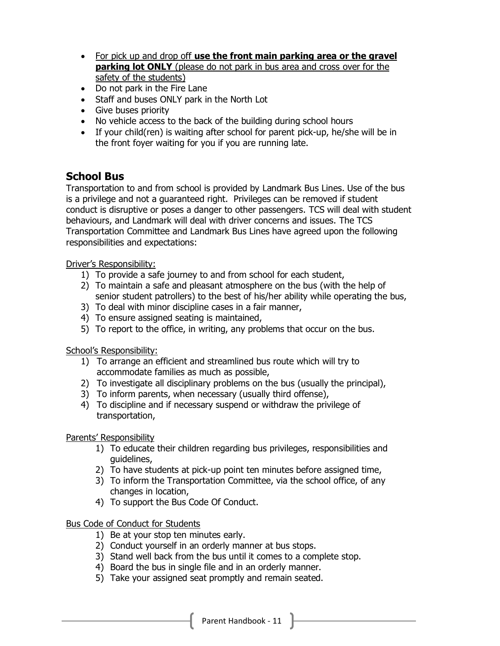- For pick up and drop off **use the front main parking area or the gravel parking lot ONLY** (please do not park in bus area and cross over for the safety of the students)
- Do not park in the Fire Lane
- Staff and buses ONLY park in the North Lot
- Give buses priority
- No vehicle access to the back of the building during school hours
- If your child(ren) is waiting after school for parent pick-up, he/she will be in the front foyer waiting for you if you are running late.

## <span id="page-10-0"></span>**School Bus**

Transportation to and from school is provided by Landmark Bus Lines. Use of the bus is a privilege and not a guaranteed right. Privileges can be removed if student conduct is disruptive or poses a danger to other passengers. TCS will deal with student behaviours, and Landmark will deal with driver concerns and issues. The TCS Transportation Committee and Landmark Bus Lines have agreed upon the following responsibilities and expectations:

Driver's Responsibility:

- 1) To provide a safe journey to and from school for each student,
- 2) To maintain a safe and pleasant atmosphere on the bus (with the help of senior student patrollers) to the best of his/her ability while operating the bus,
- 3) To deal with minor discipline cases in a fair manner,
- 4) To ensure assigned seating is maintained,
- 5) To report to the office, in writing, any problems that occur on the bus.

School's Responsibility:

- 1) To arrange an efficient and streamlined bus route which will try to accommodate families as much as possible,
- 2) To investigate all disciplinary problems on the bus (usually the principal),
- 3) To inform parents, when necessary (usually third offense),
- 4) To discipline and if necessary suspend or withdraw the privilege of transportation,

Parents' Responsibility

- 1) To educate their children regarding bus privileges, responsibilities and guidelines,
- 2) To have students at pick-up point ten minutes before assigned time,
- 3) To inform the Transportation Committee, via the school office, of any changes in location,
- 4) To support the Bus Code Of Conduct.

## Bus Code of Conduct for Students

- 1) Be at your stop ten minutes early.
- 2) Conduct yourself in an orderly manner at bus stops.
- 3) Stand well back from the bus until it comes to a complete stop.
- 4) Board the bus in single file and in an orderly manner.
- 5) Take your assigned seat promptly and remain seated.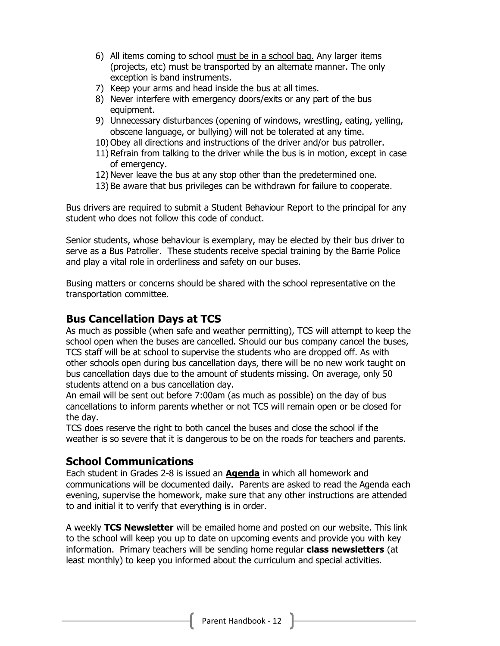- 6) All items coming to school must be in a school bag. Any larger items (projects, etc) must be transported by an alternate manner. The only exception is band instruments.
- 7) Keep your arms and head inside the bus at all times.
- 8) Never interfere with emergency doors/exits or any part of the bus equipment.
- 9) Unnecessary disturbances (opening of windows, wrestling, eating, yelling, obscene language, or bullying) will not be tolerated at any time.
- 10) Obey all directions and instructions of the driver and/or bus patroller.
- 11) Refrain from talking to the driver while the bus is in motion, except in case of emergency.
- 12) Never leave the bus at any stop other than the predetermined one.
- 13) Be aware that bus privileges can be withdrawn for failure to cooperate.

Bus drivers are required to submit a Student Behaviour Report to the principal for any student who does not follow this code of conduct.

Senior students, whose behaviour is exemplary, may be elected by their bus driver to serve as a Bus Patroller. These students receive special training by the Barrie Police and play a vital role in orderliness and safety on our buses.

Busing matters or concerns should be shared with the school representative on the transportation committee.

## <span id="page-11-0"></span>**Bus Cancellation Days at TCS**

As much as possible (when safe and weather permitting), TCS will attempt to keep the school open when the buses are cancelled. Should our bus company cancel the buses, TCS staff will be at school to supervise the students who are dropped off. As with other schools open during bus cancellation days, there will be no new work taught on bus cancellation days due to the amount of students missing. On average, only 50 students attend on a bus cancellation day.

An email will be sent out before 7:00am (as much as possible) on the day of bus cancellations to inform parents whether or not TCS will remain open or be closed for the day.

TCS does reserve the right to both cancel the buses and close the school if the weather is so severe that it is dangerous to be on the roads for teachers and parents.

## <span id="page-11-1"></span>**School Communications**

Each student in Grades 2-8 is issued an **Agenda** in which all homework and communications will be documented daily. Parents are asked to read the Agenda each evening, supervise the homework, make sure that any other instructions are attended to and initial it to verify that everything is in order.

A weekly **TCS Newsletter** will be emailed home and posted on our website. This link to the school will keep you up to date on upcoming events and provide you with key information. Primary teachers will be sending home regular **class newsletters** (at least monthly) to keep you informed about the curriculum and special activities.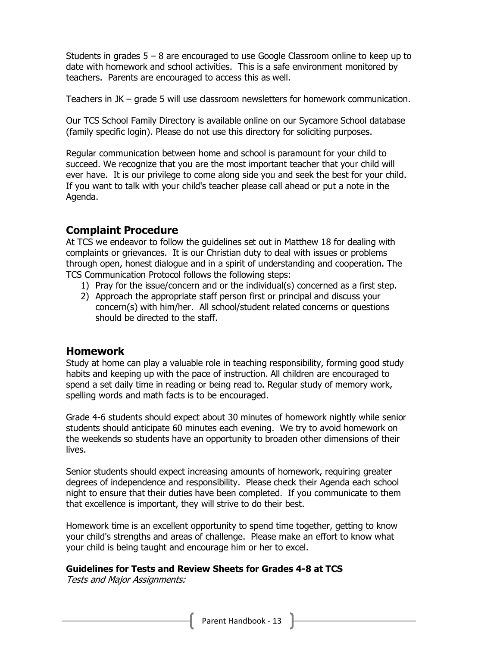Students in grades  $5 - 8$  are encouraged to use Google Classroom online to keep up to date with homework and school activities. This is a safe environment monitored by teachers. Parents are encouraged to access this as well.

Teachers in JK – grade 5 will use classroom newsletters for homework communication.

Our TCS School Family Directory is available online on our Sycamore School database (family specific login). Please do not use this directory for soliciting purposes.

Regular communication between home and school is paramount for your child to succeed. We recognize that you are the most important teacher that your child will ever have. It is our privilege to come along side you and seek the best for your child. If you want to talk with your child's teacher please call ahead or put a note in the Agenda.

## <span id="page-12-0"></span>**Complaint Procedure**

At TCS we endeavor to follow the guidelines set out in Matthew 18 for dealing with complaints or grievances. It is our Christian duty to deal with issues or problems through open, honest dialogue and in a spirit of understanding and cooperation. The TCS Communication Protocol follows the following steps:

- 1) Pray for the issue/concern and or the individual(s) concerned as a first step.
- 2) Approach the appropriate staff person first or principal and discuss your concern(s) with him/her. All school/student related concerns or questions should be directed to the staff.

## <span id="page-12-1"></span>**Homework**

Study at home can play a valuable role in teaching responsibility, forming good study habits and keeping up with the pace of instruction. All children are encouraged to spend a set daily time in reading or being read to. Regular study of memory work, spelling words and math facts is to be encouraged.

Grade 4-6 students should expect about 30 minutes of homework nightly while senior students should anticipate 60 minutes each evening. We try to avoid homework on the weekends so students have an opportunity to broaden other dimensions of their lives.

Senior students should expect increasing amounts of homework, requiring greater degrees of independence and responsibility. Please check their Agenda each school night to ensure that their duties have been completed. If you communicate to them that excellence is important, they will strive to do their best.

Homework time is an excellent opportunity to spend time together, getting to know your child's strengths and areas of challenge. Please make an effort to know what your child is being taught and encourage him or her to excel.

## **Guidelines for Tests and Review Sheets for Grades 4-8 at TCS**

Tests and Major Assignments: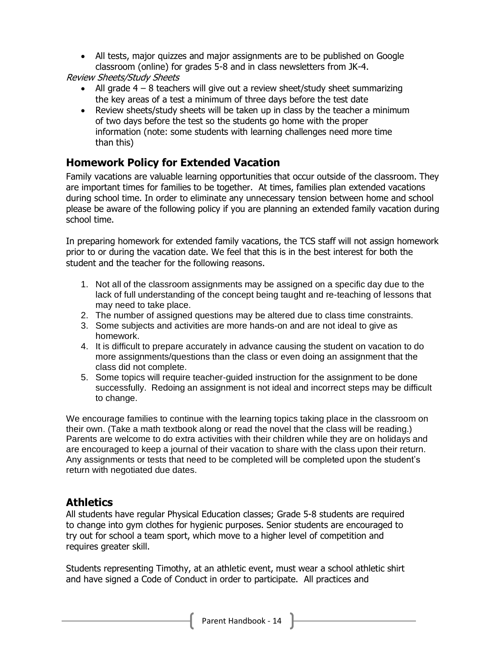• All tests, major quizzes and major assignments are to be published on Google classroom (online) for grades 5-8 and in class newsletters from JK-4.

Review Sheets/Study Sheets

- All grade  $4 8$  teachers will give out a review sheet/study sheet summarizing the key areas of a test a minimum of three days before the test date
- Review sheets/study sheets will be taken up in class by the teacher a minimum of two days before the test so the students go home with the proper information (note: some students with learning challenges need more time than this)

## <span id="page-13-0"></span>**Homework Policy for Extended Vacation**

Family vacations are valuable learning opportunities that occur outside of the classroom. They are important times for families to be together. At times, families plan extended vacations during school time. In order to eliminate any unnecessary tension between home and school please be aware of the following policy if you are planning an extended family vacation during school time.

In preparing homework for extended family vacations, the TCS staff will not assign homework prior to or during the vacation date. We feel that this is in the best interest for both the student and the teacher for the following reasons.

- 1. Not all of the classroom assignments may be assigned on a specific day due to the lack of full understanding of the concept being taught and re-teaching of lessons that may need to take place.
- 2. The number of assigned questions may be altered due to class time constraints.
- 3. Some subjects and activities are more hands-on and are not ideal to give as homework.
- 4. It is difficult to prepare accurately in advance causing the student on vacation to do more assignments/questions than the class or even doing an assignment that the class did not complete.
- 5. Some topics will require teacher-guided instruction for the assignment to be done successfully. Redoing an assignment is not ideal and incorrect steps may be difficult to change.

We encourage families to continue with the learning topics taking place in the classroom on their own. (Take a math textbook along or read the novel that the class will be reading.) Parents are welcome to do extra activities with their children while they are on holidays and are encouraged to keep a journal of their vacation to share with the class upon their return. Any assignments or tests that need to be completed will be completed upon the student's return with negotiated due dates.

## <span id="page-13-1"></span>**Athletics**

All students have regular Physical Education classes; Grade 5-8 students are required to change into gym clothes for hygienic purposes. Senior students are encouraged to try out for school a team sport, which move to a higher level of competition and requires greater skill.

Students representing Timothy, at an athletic event, must wear a school athletic shirt and have signed a Code of Conduct in order to participate. All practices and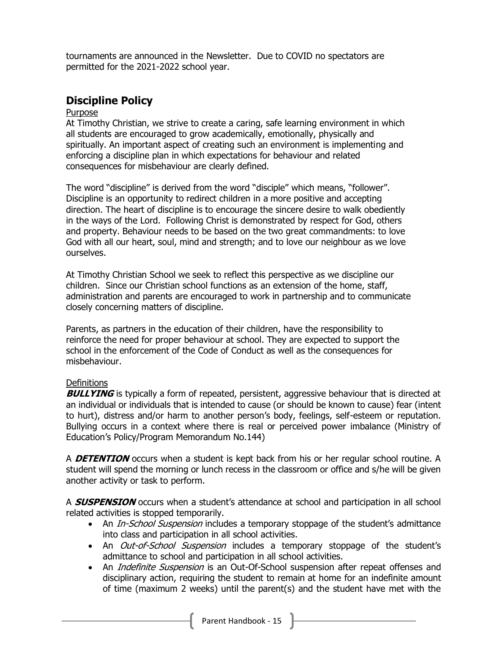tournaments are announced in the Newsletter. Due to COVID no spectators are permitted for the 2021-2022 school year.

## <span id="page-14-0"></span>**Discipline Policy**

#### Purpose

At Timothy Christian, we strive to create a caring, safe learning environment in which all students are encouraged to grow academically, emotionally, physically and spiritually. An important aspect of creating such an environment is implementing and enforcing a discipline plan in which expectations for behaviour and related consequences for misbehaviour are clearly defined.

The word "discipline" is derived from the word "disciple" which means, "follower". Discipline is an opportunity to redirect children in a more positive and accepting direction. The heart of discipline is to encourage the sincere desire to walk obediently in the ways of the Lord. Following Christ is demonstrated by respect for God, others and property. Behaviour needs to be based on the two great commandments: to love God with all our heart, soul, mind and strength; and to love our neighbour as we love ourselves.

At Timothy Christian School we seek to reflect this perspective as we discipline our children. Since our Christian school functions as an extension of the home, staff, administration and parents are encouraged to work in partnership and to communicate closely concerning matters of discipline.

Parents, as partners in the education of their children, have the responsibility to reinforce the need for proper behaviour at school. They are expected to support the school in the enforcement of the Code of Conduct as well as the consequences for misbehaviour.

## **Definitions**

**BULLYING** is typically a form of repeated, persistent, aggressive behaviour that is directed at an individual or individuals that is intended to cause (or should be known to cause) fear (intent to hurt), distress and/or harm to another person's body, feelings, self-esteem or reputation. Bullying occurs in a context where there is real or perceived power imbalance (Ministry of Education's Policy/Program Memorandum No.144)

A **DETENTION** occurs when a student is kept back from his or her regular school routine. A student will spend the morning or lunch recess in the classroom or office and s/he will be given another activity or task to perform.

A **SUSPENSION** occurs when a student's attendance at school and participation in all school related activities is stopped temporarily.

- An *In-School Suspension* includes a temporary stoppage of the student's admittance into class and participation in all school activities.
- An *Out-of-School Suspension* includes a temporary stoppage of the student's admittance to school and participation in all school activities.
- An *Indefinite Suspension* is an Out-Of-School suspension after repeat offenses and disciplinary action, requiring the student to remain at home for an indefinite amount of time (maximum 2 weeks) until the parent(s) and the student have met with the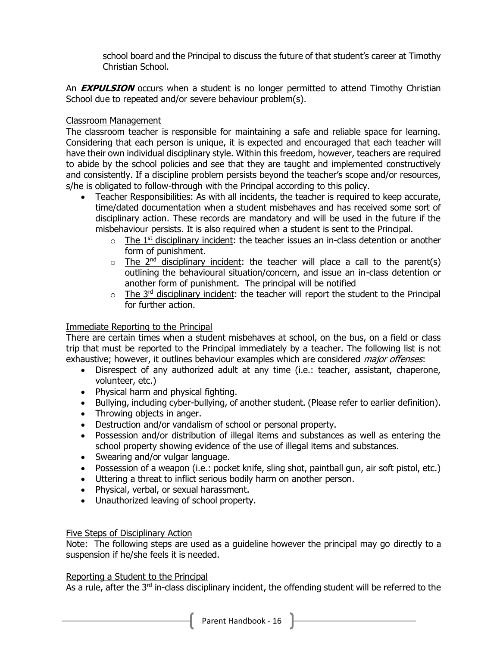school board and the Principal to discuss the future of that student's career at Timothy Christian School.

An **EXPULSION** occurs when a student is no longer permitted to attend Timothy Christian School due to repeated and/or severe behaviour problem(s).

#### Classroom Management

The classroom teacher is responsible for maintaining a safe and reliable space for learning. Considering that each person is unique, it is expected and encouraged that each teacher will have their own individual disciplinary style. Within this freedom, however, teachers are required to abide by the school policies and see that they are taught and implemented constructively and consistently. If a discipline problem persists beyond the teacher's scope and/or resources, s/he is obligated to follow-through with the Principal according to this policy.

- Teacher Responsibilities: As with all incidents, the teacher is required to keep accurate, time/dated documentation when a student misbehaves and has received some sort of disciplinary action. These records are mandatory and will be used in the future if the misbehaviour persists. It is also required when a student is sent to the Principal.
	- $\circ$  The 1<sup>st</sup> disciplinary incident: the teacher issues an in-class detention or another form of punishment.
	- $\circ$  The 2<sup>nd</sup> disciplinary incident: the teacher will place a call to the parent(s) outlining the behavioural situation/concern, and issue an in-class detention or another form of punishment. The principal will be notified
	- $\circ$  The 3<sup>rd</sup> disciplinary incident: the teacher will report the student to the Principal for further action.

#### Immediate Reporting to the Principal

There are certain times when a student misbehaves at school, on the bus, on a field or class trip that must be reported to the Principal immediately by a teacher. The following list is not exhaustive; however, it outlines behaviour examples which are considered *major offenses*:

- Disrespect of any authorized adult at any time (i.e.: teacher, assistant, chaperone, volunteer, etc.)
- Physical harm and physical fighting.
- Bullying, including cyber-bullying, of another student. (Please refer to earlier definition).
- Throwing objects in anger.
- Destruction and/or vandalism of school or personal property.
- Possession and/or distribution of illegal items and substances as well as entering the school property showing evidence of the use of illegal items and substances.
- Swearing and/or vulgar language.
- Possession of a weapon (i.e.: pocket knife, sling shot, paintball gun, air soft pistol, etc.)
- Uttering a threat to inflict serious bodily harm on another person.
- Physical, verbal, or sexual harassment.
- Unauthorized leaving of school property.

#### Five Steps of Disciplinary Action

Note: The following steps are used as a guideline however the principal may go directly to a suspension if he/she feels it is needed.

#### Reporting a Student to the Principal

As a rule, after the  $3<sup>rd</sup>$  in-class disciplinary incident, the offending student will be referred to the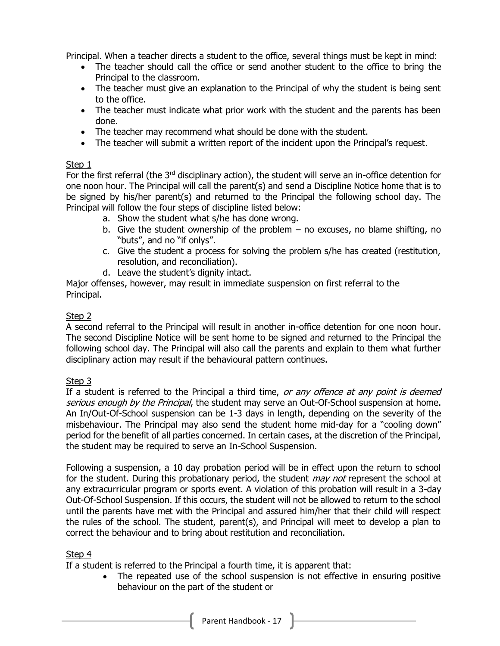Principal. When a teacher directs a student to the office, several things must be kept in mind:

- The teacher should call the office or send another student to the office to bring the Principal to the classroom.
- The teacher must give an explanation to the Principal of why the student is being sent to the office.
- The teacher must indicate what prior work with the student and the parents has been done.
- The teacher may recommend what should be done with the student.
- The teacher will submit a written report of the incident upon the Principal's request.

## Step 1

For the first referral (the  $3<sup>rd</sup>$  disciplinary action), the student will serve an in-office detention for one noon hour. The Principal will call the parent(s) and send a Discipline Notice home that is to be signed by his/her parent(s) and returned to the Principal the following school day. The Principal will follow the four steps of discipline listed below:

- a. Show the student what s/he has done wrong.
- b. Give the student ownership of the problem no excuses, no blame shifting, no "buts", and no "if onlys".
- c. Give the student a process for solving the problem s/he has created (restitution, resolution, and reconciliation).
- d. Leave the student's dignity intact.

Major offenses, however, may result in immediate suspension on first referral to the Principal.

## Step 2

A second referral to the Principal will result in another in-office detention for one noon hour. The second Discipline Notice will be sent home to be signed and returned to the Principal the following school day. The Principal will also call the parents and explain to them what further disciplinary action may result if the behavioural pattern continues.

## Step 3

If a student is referred to the Principal a third time, or any offence at any point is deemed serious enough by the Principal, the student may serve an Out-Of-School suspension at home. An In/Out-Of-School suspension can be 1-3 days in length, depending on the severity of the misbehaviour. The Principal may also send the student home mid-day for a "cooling down" period for the benefit of all parties concerned. In certain cases, at the discretion of the Principal, the student may be required to serve an In-School Suspension.

Following a suspension, a 10 day probation period will be in effect upon the return to school for the student. During this probationary period, the student *may not* represent the school at any extracurricular program or sports event. A violation of this probation will result in a 3-day Out-Of-School Suspension. If this occurs, the student will not be allowed to return to the school until the parents have met with the Principal and assured him/her that their child will respect the rules of the school. The student, parent(s), and Principal will meet to develop a plan to correct the behaviour and to bring about restitution and reconciliation.

## Step 4

If a student is referred to the Principal a fourth time, it is apparent that:

• The repeated use of the school suspension is not effective in ensuring positive behaviour on the part of the student or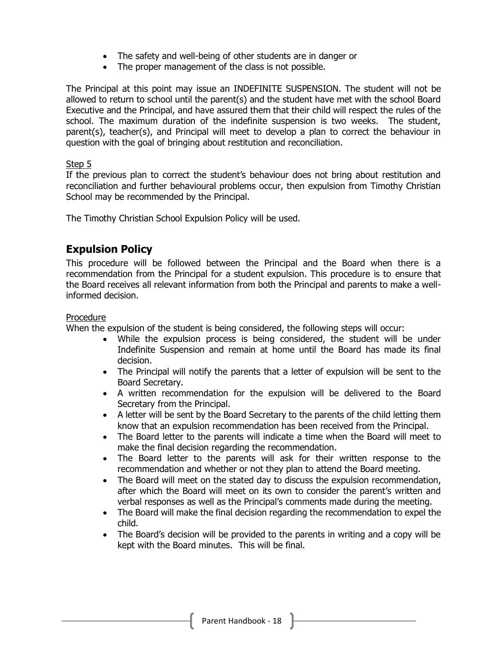- The safety and well-being of other students are in danger or
- The proper management of the class is not possible.

The Principal at this point may issue an INDEFINITE SUSPENSION. The student will not be allowed to return to school until the parent(s) and the student have met with the school Board Executive and the Principal, and have assured them that their child will respect the rules of the school. The maximum duration of the indefinite suspension is two weeks. The student, parent(s), teacher(s), and Principal will meet to develop a plan to correct the behaviour in question with the goal of bringing about restitution and reconciliation.

## Step 5

If the previous plan to correct the student's behaviour does not bring about restitution and reconciliation and further behavioural problems occur, then expulsion from Timothy Christian School may be recommended by the Principal.

The Timothy Christian School Expulsion Policy will be used.

## <span id="page-17-0"></span>**Expulsion Policy**

This procedure will be followed between the Principal and the Board when there is a recommendation from the Principal for a student expulsion. This procedure is to ensure that the Board receives all relevant information from both the Principal and parents to make a wellinformed decision.

#### Procedure

When the expulsion of the student is being considered, the following steps will occur:

- While the expulsion process is being considered, the student will be under Indefinite Suspension and remain at home until the Board has made its final decision.
- The Principal will notify the parents that a letter of expulsion will be sent to the Board Secretary.
- A written recommendation for the expulsion will be delivered to the Board Secretary from the Principal.
- A letter will be sent by the Board Secretary to the parents of the child letting them know that an expulsion recommendation has been received from the Principal.
- The Board letter to the parents will indicate a time when the Board will meet to make the final decision regarding the recommendation.
- The Board letter to the parents will ask for their written response to the recommendation and whether or not they plan to attend the Board meeting.
- The Board will meet on the stated day to discuss the expulsion recommendation, after which the Board will meet on its own to consider the parent's written and verbal responses as well as the Principal's comments made during the meeting.
- The Board will make the final decision regarding the recommendation to expel the child.
- The Board's decision will be provided to the parents in writing and a copy will be kept with the Board minutes. This will be final.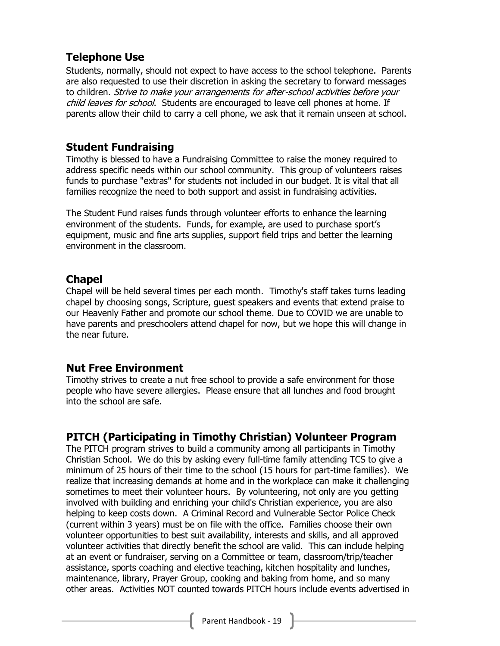## <span id="page-18-0"></span>**Telephone Use**

Students, normally, should not expect to have access to the school telephone. Parents are also requested to use their discretion in asking the secretary to forward messages to children. Strive to make your arrangements for after-school activities before your child leaves for school. Students are encouraged to leave cell phones at home. If parents allow their child to carry a cell phone, we ask that it remain unseen at school.

## <span id="page-18-1"></span>**Student Fundraising**

Timothy is blessed to have a Fundraising Committee to raise the money required to address specific needs within our school community. This group of volunteers raises funds to purchase "extras" for students not included in our budget. It is vital that all families recognize the need to both support and assist in fundraising activities.

The Student Fund raises funds through volunteer efforts to enhance the learning environment of the students. Funds, for example, are used to purchase sport's equipment, music and fine arts supplies, support field trips and better the learning environment in the classroom.

## <span id="page-18-2"></span>**Chapel**

Chapel will be held several times per each month. Timothy's staff takes turns leading chapel by choosing songs, Scripture, guest speakers and events that extend praise to our Heavenly Father and promote our school theme. Due to COVID we are unable to have parents and preschoolers attend chapel for now, but we hope this will change in the near future.

## <span id="page-18-3"></span>**Nut Free Environment**

Timothy strives to create a nut free school to provide a safe environment for those people who have severe allergies. Please ensure that all lunches and food brought into the school are safe.

## <span id="page-18-4"></span>**PITCH (Participating in Timothy Christian) Volunteer Program**

The PITCH program strives to build a community among all participants in Timothy Christian School. We do this by asking every full-time family attending TCS to give a minimum of 25 hours of their time to the school (15 hours for part-time families). We realize that increasing demands at home and in the workplace can make it challenging sometimes to meet their volunteer hours. By volunteering, not only are you getting involved with building and enriching your child's Christian experience, you are also helping to keep costs down. A Criminal Record and Vulnerable Sector Police Check (current within 3 years) must be on file with the office. Families choose their own volunteer opportunities to best suit availability, interests and skills, and all approved volunteer activities that directly benefit the school are valid. This can include helping at an event or fundraiser, serving on a Committee or team, classroom/trip/teacher assistance, sports coaching and elective teaching, kitchen hospitality and lunches, maintenance, library, Prayer Group, cooking and baking from home, and so many other areas. Activities NOT counted towards PITCH hours include events advertised in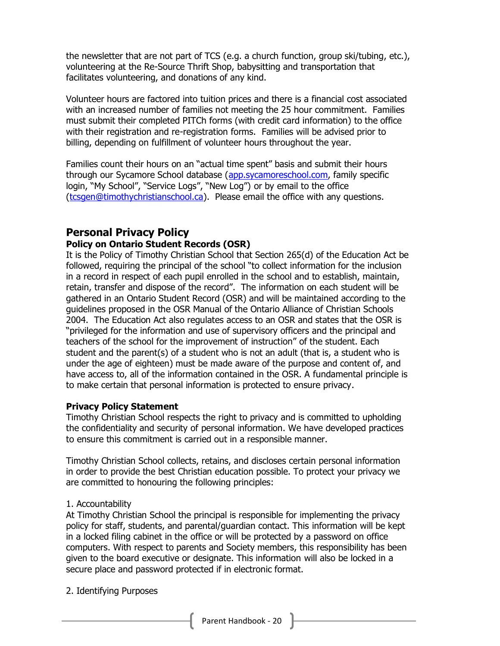the newsletter that are not part of TCS (e.g. a church function, group ski/tubing, etc.), volunteering at the Re-Source Thrift Shop, babysitting and transportation that facilitates volunteering, and donations of any kind.

Volunteer hours are factored into tuition prices and there is a financial cost associated with an increased number of families not meeting the 25 hour commitment. Families must submit their completed PITCh forms (with credit card information) to the office with their registration and re-registration forms. Families will be advised prior to billing, depending on fulfillment of volunteer hours throughout the year.

Families count their hours on an "actual time spent" basis and submit their hours through our Sycamore School database [\(app.sycamoreschool.com,](http://app.sycamoreschool.com/) family specific login, "My School", "Service Logs", "New Log") or by email to the office [\(tcsgen@timothychristianschool.ca\)](mailto:tcsgen@timothychristianschool.ca). Please email the office with any questions.

## <span id="page-19-0"></span>**Personal Privacy Policy Policy on Ontario Student Records (OSR)**

It is the Policy of Timothy Christian School that Section 265(d) of the Education Act be followed, requiring the principal of the school "to collect information for the inclusion in a record in respect of each pupil enrolled in the school and to establish, maintain, retain, transfer and dispose of the record". The information on each student will be gathered in an Ontario Student Record (OSR) and will be maintained according to the guidelines proposed in the OSR Manual of the Ontario Alliance of Christian Schools 2004. The Education Act also regulates access to an OSR and states that the OSR is "privileged for the information and use of supervisory officers and the principal and teachers of the school for the improvement of instruction" of the student. Each student and the parent(s) of a student who is not an adult (that is, a student who is under the age of eighteen) must be made aware of the purpose and content of, and have access to, all of the information contained in the OSR. A fundamental principle is to make certain that personal information is protected to ensure privacy.

## **Privacy Policy Statement**

Timothy Christian School respects the right to privacy and is committed to upholding the confidentiality and security of personal information. We have developed practices to ensure this commitment is carried out in a responsible manner.

Timothy Christian School collects, retains, and discloses certain personal information in order to provide the best Christian education possible. To protect your privacy we are committed to honouring the following principles:

## 1. Accountability

At Timothy Christian School the principal is responsible for implementing the privacy policy for staff, students, and parental/guardian contact. This information will be kept in a locked filing cabinet in the office or will be protected by a password on office computers. With respect to parents and Society members, this responsibility has been given to the board executive or designate. This information will also be locked in a secure place and password protected if in electronic format.

2. Identifying Purposes